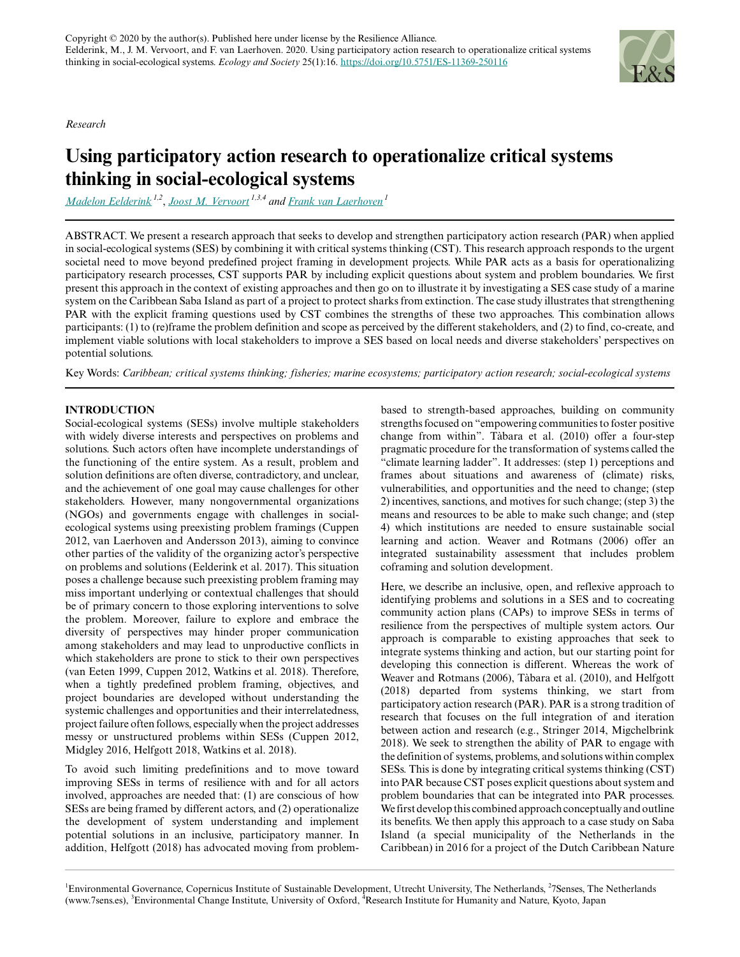*Research*



# **Using participatory action research to operationalize critical systems thinking in social-ecological systems**

*[Madelon Eelderink](mailto:madelon@7sens.es) 1,2* , *[Joost M. Vervoort](mailto:j.m.vervoort@uu.nl) 1,3,4 and [Frank van Laerhoven](mailto:F.S.J.vanLaerhoven@uu.nl)<sup>1</sup>*

ABSTRACT. We present a research approach that seeks to develop and strengthen participatory action research (PAR) when applied in social-ecological systems (SES) by combining it with critical systems thinking (CST). This research approach responds to the urgent societal need to move beyond predefined project framing in development projects. While PAR acts as a basis for operationalizing participatory research processes, CST supports PAR by including explicit questions about system and problem boundaries. We first present this approach in the context of existing approaches and then go on to illustrate it by investigating a SES case study of a marine system on the Caribbean Saba Island as part of a project to protect sharks from extinction. The case study illustrates that strengthening PAR with the explicit framing questions used by CST combines the strengths of these two approaches. This combination allows participants: (1) to (re)frame the problem definition and scope as perceived by the different stakeholders, and (2) to find, co-create, and implement viable solutions with local stakeholders to improve a SES based on local needs and diverse stakeholders' perspectives on potential solutions.

Key Words: *Caribbean; critical systems thinking; fisheries; marine ecosystems; participatory action research; social-ecological systems*

# **INTRODUCTION**

Social-ecological systems (SESs) involve multiple stakeholders with widely diverse interests and perspectives on problems and solutions. Such actors often have incomplete understandings of the functioning of the entire system. As a result, problem and solution definitions are often diverse, contradictory, and unclear, and the achievement of one goal may cause challenges for other stakeholders. However, many nongovernmental organizations (NGOs) and governments engage with challenges in socialecological systems using preexisting problem framings (Cuppen 2012, van Laerhoven and Andersson 2013), aiming to convince other parties of the validity of the organizing actor's perspective on problems and solutions (Eelderink et al. 2017). This situation poses a challenge because such preexisting problem framing may miss important underlying or contextual challenges that should be of primary concern to those exploring interventions to solve the problem. Moreover, failure to explore and embrace the diversity of perspectives may hinder proper communication among stakeholders and may lead to unproductive conflicts in which stakeholders are prone to stick to their own perspectives (van Eeten 1999, Cuppen 2012, Watkins et al. 2018). Therefore, when a tightly predefined problem framing, objectives, and project boundaries are developed without understanding the systemic challenges and opportunities and their interrelatedness, project failure often follows, especially when the project addresses messy or unstructured problems within SESs (Cuppen 2012, Midgley 2016, Helfgott 2018, Watkins et al. 2018).

To avoid such limiting predefinitions and to move toward improving SESs in terms of resilience with and for all actors involved, approaches are needed that: (1) are conscious of how SESs are being framed by different actors, and (2) operationalize the development of system understanding and implement potential solutions in an inclusive, participatory manner. In addition, Helfgott (2018) has advocated moving from problembased to strength-based approaches, building on community strengths focused on "empowering communities to foster positive change from within". Tàbara et al. (2010) offer a four-step pragmatic procedure for the transformation of systems called the "climate learning ladder". It addresses: (step 1) perceptions and frames about situations and awareness of (climate) risks, vulnerabilities, and opportunities and the need to change; (step 2) incentives, sanctions, and motives for such change; (step 3) the means and resources to be able to make such change; and (step 4) which institutions are needed to ensure sustainable social learning and action. Weaver and Rotmans (2006) offer an integrated sustainability assessment that includes problem coframing and solution development.

Here, we describe an inclusive, open, and reflexive approach to identifying problems and solutions in a SES and to cocreating community action plans (CAPs) to improve SESs in terms of resilience from the perspectives of multiple system actors. Our approach is comparable to existing approaches that seek to integrate systems thinking and action, but our starting point for developing this connection is different. Whereas the work of Weaver and Rotmans (2006), Tàbara et al. (2010), and Helfgott (2018) departed from systems thinking, we start from participatory action research (PAR). PAR is a strong tradition of research that focuses on the full integration of and iteration between action and research (e.g., Stringer 2014, Migchelbrink 2018). We seek to strengthen the ability of PAR to engage with the definition of systems, problems, and solutions within complex SESs. This is done by integrating critical systems thinking (CST) into PAR because CST poses explicit questions about system and problem boundaries that can be integrated into PAR processes. We first develop this combined approach conceptually and outline its benefits. We then apply this approach to a case study on Saba Island (a special municipality of the Netherlands in the Caribbean) in 2016 for a project of the Dutch Caribbean Nature

<sup>&</sup>lt;sup>1</sup>Environmental Governance, Copernicus Institute of Sustainable Development, Utrecht University, The Netherlands, <sup>2</sup>7Senses, The Netherlands (www.7sens.es), <sup>3</sup>Environmental Change Institute, University of Oxford, <sup>4</sup>Research Institute for Humanity and Nature, Kyoto, Japan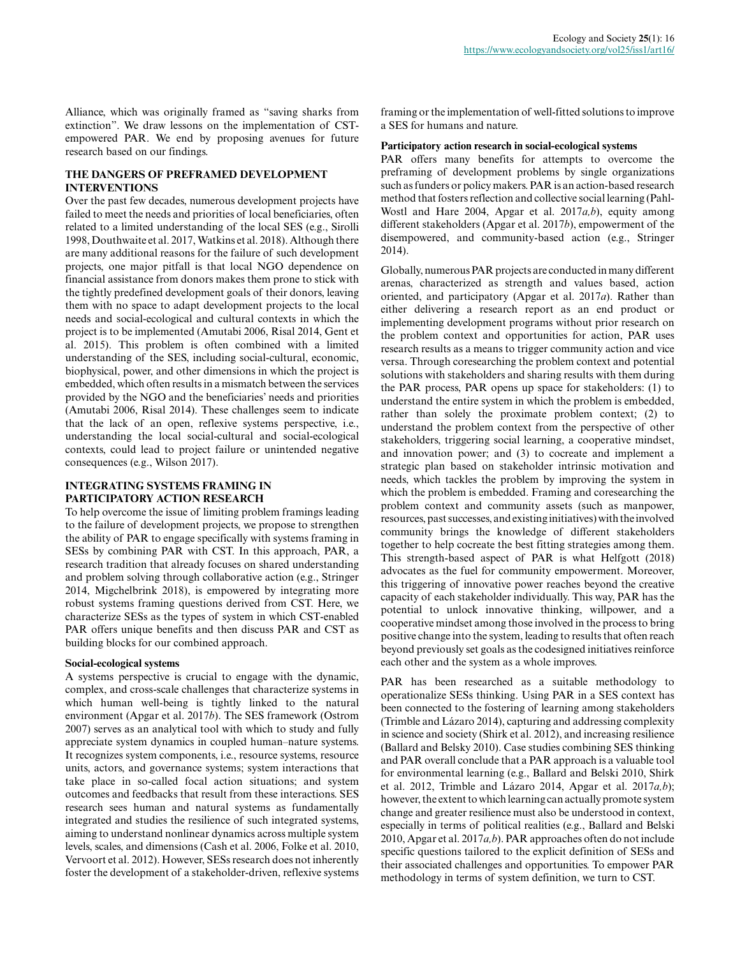Alliance, which was originally framed as "saving sharks from extinction". We draw lessons on the implementation of CSTempowered PAR. We end by proposing avenues for future research based on our findings.

# **THE DANGERS OF PREFRAMED DEVELOPMENT INTERVENTIONS**

Over the past few decades, numerous development projects have failed to meet the needs and priorities of local beneficiaries, often related to a limited understanding of the local SES (e.g., Sirolli 1998, Douthwaite et al. 2017, Watkins et al. 2018). Although there are many additional reasons for the failure of such development projects, one major pitfall is that local NGO dependence on financial assistance from donors makes them prone to stick with the tightly predefined development goals of their donors, leaving them with no space to adapt development projects to the local needs and social-ecological and cultural contexts in which the project is to be implemented (Amutabi 2006, Risal 2014, Gent et al. 2015). This problem is often combined with a limited understanding of the SES, including social-cultural, economic, biophysical, power, and other dimensions in which the project is embedded, which often results in a mismatch between the services provided by the NGO and the beneficiaries' needs and priorities (Amutabi 2006, Risal 2014). These challenges seem to indicate that the lack of an open, reflexive systems perspective, i.e., understanding the local social-cultural and social-ecological contexts, could lead to project failure or unintended negative consequences (e.g., Wilson 2017).

# **INTEGRATING SYSTEMS FRAMING IN PARTICIPATORY ACTION RESEARCH**

To help overcome the issue of limiting problem framings leading to the failure of development projects, we propose to strengthen the ability of PAR to engage specifically with systems framing in SESs by combining PAR with CST. In this approach, PAR, a research tradition that already focuses on shared understanding and problem solving through collaborative action (e.g., Stringer 2014, Migchelbrink 2018), is empowered by integrating more robust systems framing questions derived from CST. Here, we characterize SESs as the types of system in which CST-enabled PAR offers unique benefits and then discuss PAR and CST as building blocks for our combined approach.

# **Social-ecological systems**

A systems perspective is crucial to engage with the dynamic, complex, and cross-scale challenges that characterize systems in which human well-being is tightly linked to the natural environment (Apgar et al. 2017*b*). The SES framework (Ostrom 2007) serves as an analytical tool with which to study and fully appreciate system dynamics in coupled human–nature systems. It recognizes system components, i.e., resource systems, resource units, actors, and governance systems; system interactions that take place in so-called focal action situations; and system outcomes and feedbacks that result from these interactions. SES research sees human and natural systems as fundamentally integrated and studies the resilience of such integrated systems, aiming to understand nonlinear dynamics across multiple system levels, scales, and dimensions (Cash et al. 2006, Folke et al. 2010, Vervoort et al. 2012). However, SESs research does not inherently foster the development of a stakeholder-driven, reflexive systems framing or the implementation of well-fitted solutions to improve a SES for humans and nature.

# **Participatory action research in social-ecological systems**

PAR offers many benefits for attempts to overcome the preframing of development problems by single organizations such as funders or policy makers. PAR is an action-based research method that fosters reflection and collective social learning (Pahl-Wostl and Hare 2004, Apgar et al. 2017*a,b*), equity among different stakeholders (Apgar et al. 2017*b*), empowerment of the disempowered, and community-based action (e.g., Stringer 2014).

Globally, numerous PAR projects are conducted in many different arenas, characterized as strength and values based, action oriented, and participatory (Apgar et al. 2017*a*). Rather than either delivering a research report as an end product or implementing development programs without prior research on the problem context and opportunities for action, PAR uses research results as a means to trigger community action and vice versa. Through coresearching the problem context and potential solutions with stakeholders and sharing results with them during the PAR process, PAR opens up space for stakeholders: (1) to understand the entire system in which the problem is embedded, rather than solely the proximate problem context; (2) to understand the problem context from the perspective of other stakeholders, triggering social learning, a cooperative mindset, and innovation power; and (3) to cocreate and implement a strategic plan based on stakeholder intrinsic motivation and needs, which tackles the problem by improving the system in which the problem is embedded. Framing and coresearching the problem context and community assets (such as manpower, resources, past successes, and existing initiatives) with the involved community brings the knowledge of different stakeholders together to help cocreate the best fitting strategies among them. This strength-based aspect of PAR is what Helfgott (2018) advocates as the fuel for community empowerment. Moreover, this triggering of innovative power reaches beyond the creative capacity of each stakeholder individually. This way, PAR has the potential to unlock innovative thinking, willpower, and a cooperative mindset among those involved in the process to bring positive change into the system, leading to results that often reach beyond previously set goals as the codesigned initiatives reinforce each other and the system as a whole improves.

PAR has been researched as a suitable methodology to operationalize SESs thinking. Using PAR in a SES context has been connected to the fostering of learning among stakeholders (Trimble and Lázaro 2014), capturing and addressing complexity in science and society (Shirk et al. 2012), and increasing resilience (Ballard and Belsky 2010). Case studies combining SES thinking and PAR overall conclude that a PAR approach is a valuable tool for environmental learning (e.g., Ballard and Belski 2010, Shirk et al. 2012, Trimble and Lázaro 2014, Apgar et al. 2017*a,b*); however, the extent to which learning can actually promote system change and greater resilience must also be understood in context, especially in terms of political realities (e.g., Ballard and Belski 2010, Apgar et al. 2017*a,b*). PAR approaches often do not include specific questions tailored to the explicit definition of SESs and their associated challenges and opportunities. To empower PAR methodology in terms of system definition, we turn to CST.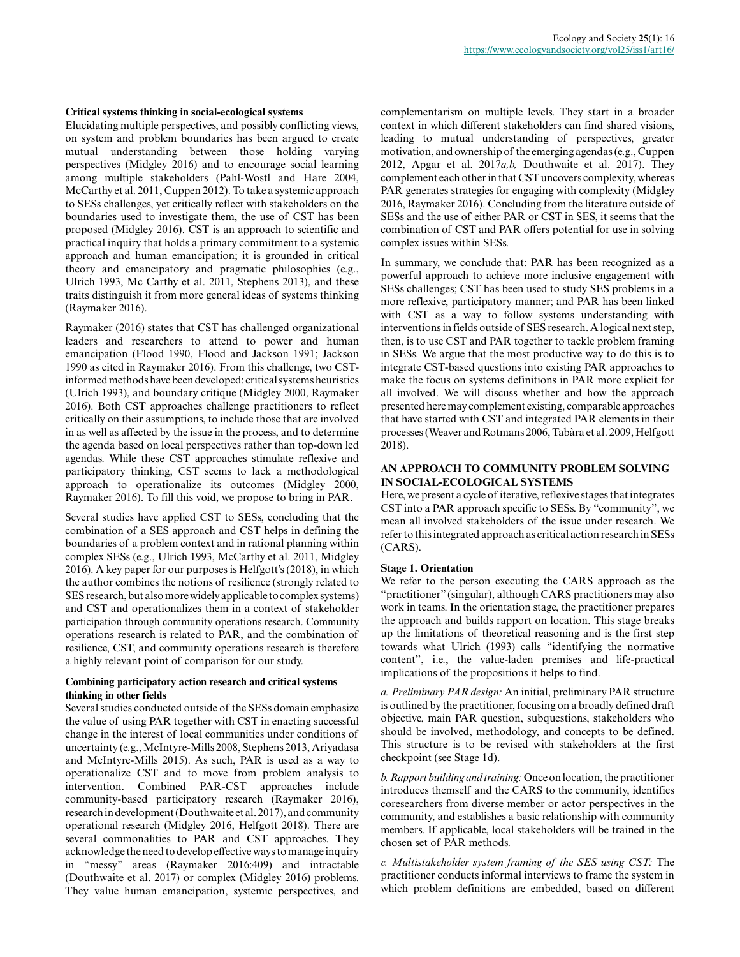#### **Critical systems thinking in social-ecological systems**

Elucidating multiple perspectives, and possibly conflicting views, on system and problem boundaries has been argued to create mutual understanding between those holding varying perspectives (Midgley 2016) and to encourage social learning among multiple stakeholders (Pahl-Wostl and Hare 2004, McCarthy et al. 2011, Cuppen 2012). To take a systemic approach to SESs challenges, yet critically reflect with stakeholders on the boundaries used to investigate them, the use of CST has been proposed (Midgley 2016). CST is an approach to scientific and practical inquiry that holds a primary commitment to a systemic approach and human emancipation; it is grounded in critical theory and emancipatory and pragmatic philosophies (e.g., Ulrich 1993, Mc Carthy et al. 2011, Stephens 2013), and these traits distinguish it from more general ideas of systems thinking (Raymaker 2016).

Raymaker (2016) states that CST has challenged organizational leaders and researchers to attend to power and human emancipation (Flood 1990, Flood and Jackson 1991; Jackson 1990 as cited in Raymaker 2016). From this challenge, two CSTinformed methods have been developed: critical systems heuristics (Ulrich 1993), and boundary critique (Midgley 2000, Raymaker 2016). Both CST approaches challenge practitioners to reflect critically on their assumptions, to include those that are involved in as well as affected by the issue in the process, and to determine the agenda based on local perspectives rather than top-down led agendas. While these CST approaches stimulate reflexive and participatory thinking, CST seems to lack a methodological approach to operationalize its outcomes (Midgley 2000, Raymaker 2016). To fill this void, we propose to bring in PAR.

Several studies have applied CST to SESs, concluding that the combination of a SES approach and CST helps in defining the boundaries of a problem context and in rational planning within complex SESs (e.g., Ulrich 1993, McCarthy et al. 2011, Midgley 2016). A key paper for our purposes is Helfgott's (2018), in which the author combines the notions of resilience (strongly related to SES research, but also more widely applicable to complex systems) and CST and operationalizes them in a context of stakeholder participation through community operations research. Community operations research is related to PAR, and the combination of resilience, CST, and community operations research is therefore a highly relevant point of comparison for our study.

#### **Combining participatory action research and critical systems thinking in other fields**

Several studies conducted outside of the SESs domain emphasize the value of using PAR together with CST in enacting successful change in the interest of local communities under conditions of uncertainty (e.g., McIntyre-Mills 2008, Stephens 2013, Ariyadasa and McIntyre-Mills 2015). As such, PAR is used as a way to operationalize CST and to move from problem analysis to intervention. Combined PAR-CST approaches include community-based participatory research (Raymaker 2016), research in development (Douthwaite et al. 2017), and community operational research (Midgley 2016, Helfgott 2018). There are several commonalities to PAR and CST approaches. They acknowledge the need to develop effective ways to manage inquiry in "messy" areas (Raymaker 2016:409) and intractable (Douthwaite et al. 2017) or complex (Midgley 2016) problems. They value human emancipation, systemic perspectives, and complementarism on multiple levels. They start in a broader context in which different stakeholders can find shared visions, leading to mutual understanding of perspectives, greater motivation, and ownership of the emerging agendas (e.g., Cuppen 2012, Apgar et al. 2017*a,b,* Douthwaite et al. 2017). They complement each other in that CST uncovers complexity, whereas PAR generates strategies for engaging with complexity (Midgley 2016, Raymaker 2016). Concluding from the literature outside of SESs and the use of either PAR or CST in SES, it seems that the combination of CST and PAR offers potential for use in solving complex issues within SESs.

In summary, we conclude that: PAR has been recognized as a powerful approach to achieve more inclusive engagement with SESs challenges; CST has been used to study SES problems in a more reflexive, participatory manner; and PAR has been linked with CST as a way to follow systems understanding with interventions in fields outside of SES research. A logical next step, then, is to use CST and PAR together to tackle problem framing in SESs. We argue that the most productive way to do this is to integrate CST-based questions into existing PAR approaches to make the focus on systems definitions in PAR more explicit for all involved. We will discuss whether and how the approach presented here may complement existing, comparable approaches that have started with CST and integrated PAR elements in their processes (Weaver and Rotmans 2006, Tabàra et al. 2009, Helfgott 2018).

## **AN APPROACH TO COMMUNITY PROBLEM SOLVING IN SOCIAL-ECOLOGICAL SYSTEMS**

Here, we present a cycle of iterative, reflexive stages that integrates CST into a PAR approach specific to SESs. By "community", we mean all involved stakeholders of the issue under research. We refer to this integrated approach as critical action research in SESs (CARS).

# **Stage 1. Orientation**

We refer to the person executing the CARS approach as the "practitioner" (singular), although CARS practitioners may also work in teams. In the orientation stage, the practitioner prepares the approach and builds rapport on location. This stage breaks up the limitations of theoretical reasoning and is the first step towards what Ulrich (1993) calls "identifying the normative content", i.e., the value-laden premises and life-practical implications of the propositions it helps to find.

*a. Preliminary PAR design:* An initial, preliminary PAR structure is outlined by the practitioner, focusing on a broadly defined draft objective, main PAR question, subquestions, stakeholders who should be involved, methodology, and concepts to be defined. This structure is to be revised with stakeholders at the first checkpoint (see Stage 1d).

*b. Rapport building and training:* Once on location, the practitioner introduces themself and the CARS to the community, identifies coresearchers from diverse member or actor perspectives in the community, and establishes a basic relationship with community members. If applicable, local stakeholders will be trained in the chosen set of PAR methods.

*c. Multistakeholder system framing of the SES using CST:* The practitioner conducts informal interviews to frame the system in which problem definitions are embedded, based on different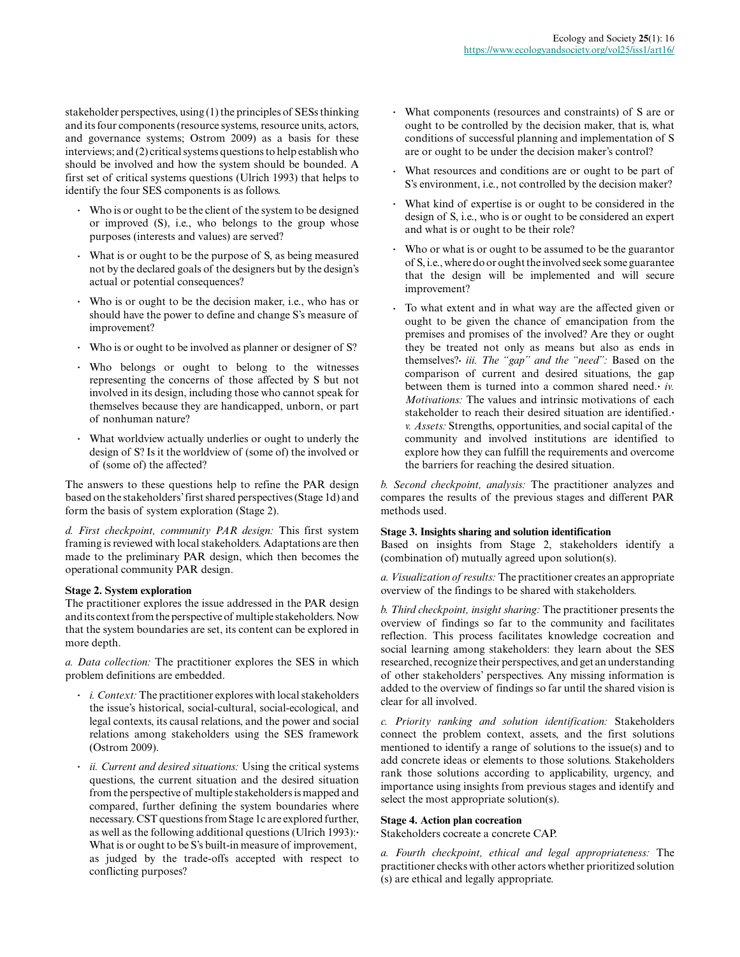stakeholder perspectives, using (1) the principles of SESs thinking and its four components (resource systems, resource units, actors, and governance systems; Ostrom 2009) as a basis for these interviews; and (2) critical systems questions to help establish who should be involved and how the system should be bounded. A first set of critical systems questions (Ulrich 1993) that helps to identify the four SES components is as follows.

- **.** Who is or ought to be the client of the system to be designed or improved (S), i.e., who belongs to the group whose purposes (interests and values) are served?
- **.** What is or ought to be the purpose of S, as being measured not by the declared goals of the designers but by the design's actual or potential consequences?
- **.** Who is or ought to be the decision maker, i.e., who has or should have the power to define and change S's measure of improvement?
- **.** Who is or ought to be involved as planner or designer of S?
- **.** Who belongs or ought to belong to the witnesses representing the concerns of those affected by S but not involved in its design, including those who cannot speak for themselves because they are handicapped, unborn, or part of nonhuman nature?
- **.** What worldview actually underlies or ought to underly the design of S? Is it the worldview of (some of) the involved or of (some of) the affected?

The answers to these questions help to refine the PAR design based on the stakeholders' first shared perspectives (Stage 1d) and form the basis of system exploration (Stage 2).

*d. First checkpoint, community PAR design:* This first system framing is reviewed with local stakeholders. Adaptations are then made to the preliminary PAR design, which then becomes the operational community PAR design.

#### **Stage 2. System exploration**

The practitioner explores the issue addressed in the PAR design and its context from the perspective of multiple stakeholders. Now that the system boundaries are set, its content can be explored in more depth.

*a. Data collection:* The practitioner explores the SES in which problem definitions are embedded.

- **.** *i. Context:* The practitioner explores with local stakeholders the issue's historical, social-cultural, social-ecological, and legal contexts, its causal relations, and the power and social relations among stakeholders using the SES framework (Ostrom 2009).
- **.** *ii. Current and desired situations:* Using the critical systems questions, the current situation and the desired situation from the perspective of multiple stakeholders is mapped and compared, further defining the system boundaries where necessary. CST questions from Stage 1c are explored further, as well as the following additional questions (Ulrich 1993):**.** What is or ought to be S's built-in measure of improvement, as judged by the trade-offs accepted with respect to conflicting purposes?
- **.** What components (resources and constraints) of S are or ought to be controlled by the decision maker, that is, what conditions of successful planning and implementation of S are or ought to be under the decision maker's control?
- **.** What resources and conditions are or ought to be part of S's environment, i.e., not controlled by the decision maker?
- **.** What kind of expertise is or ought to be considered in the design of S, i.e., who is or ought to be considered an expert and what is or ought to be their role?
- **.** Who or what is or ought to be assumed to be the guarantor of S, i.e., where do or ought the involved seek some guarantee that the design will be implemented and will secure improvement?
- **.** To what extent and in what way are the affected given or ought to be given the chance of emancipation from the premises and promises of the involved? Are they or ought they be treated not only as means but also as ends in themselves?**.** *iii. The "gap" and the "need":* Based on the comparison of current and desired situations, the gap between them is turned into a common shared need.**.** *iv. Motivations:* The values and intrinsic motivations of each stakeholder to reach their desired situation are identified.**.** *v. Assets:* Strengths, opportunities, and social capital of the community and involved institutions are identified to explore how they can fulfill the requirements and overcome the barriers for reaching the desired situation.

*b. Second checkpoint, analysis:* The practitioner analyzes and compares the results of the previous stages and different PAR methods used.

# **Stage 3. Insights sharing and solution identification**

Based on insights from Stage 2, stakeholders identify a (combination of) mutually agreed upon solution(s).

*a. Visualization of results:* The practitioner creates an appropriate overview of the findings to be shared with stakeholders.

*b. Third checkpoint, insight sharing:* The practitioner presents the overview of findings so far to the community and facilitates reflection. This process facilitates knowledge cocreation and social learning among stakeholders: they learn about the SES researched, recognize their perspectives, and get an understanding of other stakeholders' perspectives. Any missing information is added to the overview of findings so far until the shared vision is clear for all involved.

*c. Priority ranking and solution identification:* Stakeholders connect the problem context, assets, and the first solutions mentioned to identify a range of solutions to the issue(s) and to add concrete ideas or elements to those solutions. Stakeholders rank those solutions according to applicability, urgency, and importance using insights from previous stages and identify and select the most appropriate solution(s).

# **Stage 4. Action plan cocreation**

Stakeholders cocreate a concrete CAP.

*a. Fourth checkpoint, ethical and legal appropriateness:* The practitioner checks with other actors whether prioritized solution (s) are ethical and legally appropriate.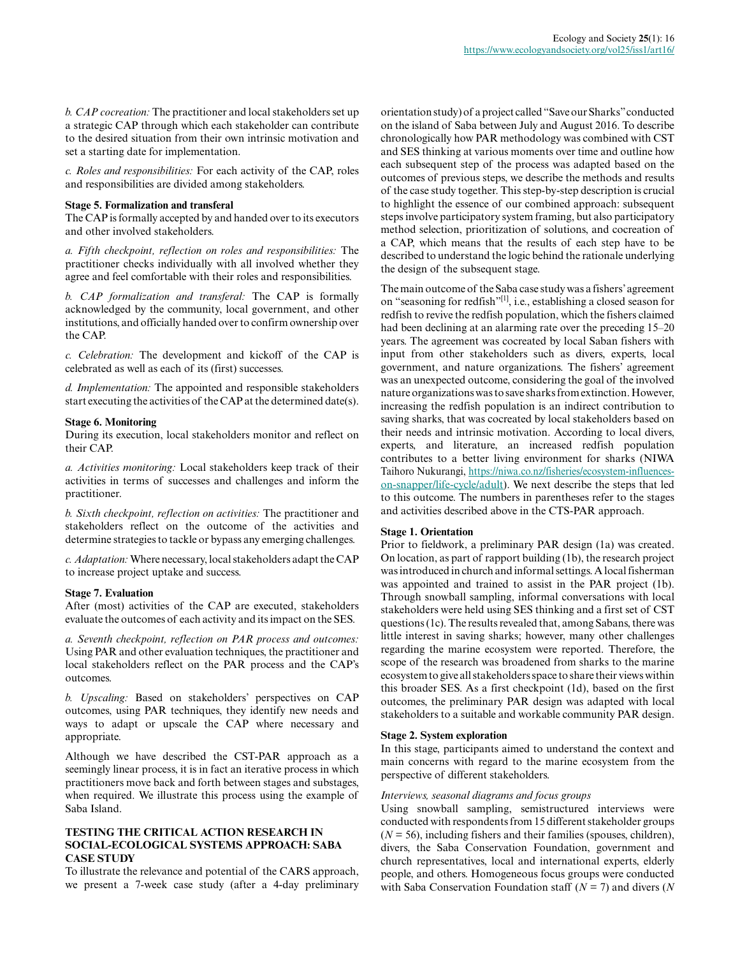*b. CAP cocreation:* The practitioner and local stakeholders set up a strategic CAP through which each stakeholder can contribute to the desired situation from their own intrinsic motivation and set a starting date for implementation.

*c. Roles and responsibilities:* For each activity of the CAP, roles and responsibilities are divided among stakeholders.

#### **Stage 5. Formalization and transferal**

The CAP is formally accepted by and handed over to its executors and other involved stakeholders.

*a. Fifth checkpoint, reflection on roles and responsibilities:* The practitioner checks individually with all involved whether they agree and feel comfortable with their roles and responsibilities.

*b. CAP formalization and transferal:* The CAP is formally acknowledged by the community, local government, and other institutions, and officially handed over to confirm ownership over the CAP.

*c. Celebration:* The development and kickoff of the CAP is celebrated as well as each of its (first) successes.

*d. Implementation:* The appointed and responsible stakeholders start executing the activities of the CAP at the determined date(s).

#### **Stage 6. Monitoring**

During its execution, local stakeholders monitor and reflect on their CAP.

*a. Activities monitoring:* Local stakeholders keep track of their activities in terms of successes and challenges and inform the practitioner.

*b. Sixth checkpoint, reflection on activities:* The practitioner and stakeholders reflect on the outcome of the activities and determine strategies to tackle or bypass any emerging challenges.

*c. Adaptation:* Where necessary, local stakeholders adapt the CAP to increase project uptake and success.

#### **Stage 7. Evaluation**

After (most) activities of the CAP are executed, stakeholders evaluate the outcomes of each activity and its impact on the SES.

*a. Seventh checkpoint, reflection on PAR process and outcomes:* Using PAR and other evaluation techniques, the practitioner and local stakeholders reflect on the PAR process and the CAP's outcomes.

*b. Upscaling:* Based on stakeholders' perspectives on CAP outcomes, using PAR techniques, they identify new needs and ways to adapt or upscale the CAP where necessary and appropriate.

Although we have described the CST-PAR approach as a seemingly linear process, it is in fact an iterative process in which practitioners move back and forth between stages and substages, when required. We illustrate this process using the example of Saba Island.

# **TESTING THE CRITICAL ACTION RESEARCH IN SOCIAL-ECOLOGICAL SYSTEMS APPROACH: SABA CASE STUDY**

To illustrate the relevance and potential of the CARS approach, we present a 7-week case study (after a 4-day preliminary orientation study) of a project called "Save our Sharks" conducted on the island of Saba between July and August 2016. To describe chronologically how PAR methodology was combined with CST and SES thinking at various moments over time and outline how each subsequent step of the process was adapted based on the outcomes of previous steps, we describe the methods and results of the case study together. This step-by-step description is crucial to highlight the essence of our combined approach: subsequent steps involve participatory system framing, but also participatory method selection, prioritization of solutions, and cocreation of a CAP, which means that the results of each step have to be described to understand the logic behind the rationale underlying the design of the subsequent stage.

The main outcome of the Saba case study was a fishers' agreement on "seasoning for redfish"[1], i.e., establishing a closed season for redfish to revive the redfish population, which the fishers claimed had been declining at an alarming rate over the preceding  $15-20$ years. The agreement was cocreated by local Saban fishers with input from other stakeholders such as divers, experts, local government, and nature organizations. The fishers' agreement was an unexpected outcome, considering the goal of the involved nature organizations was to save sharks from extinction. However, increasing the redfish population is an indirect contribution to saving sharks, that was cocreated by local stakeholders based on their needs and intrinsic motivation. According to local divers, experts, and literature, an increased redfish population contributes to a better living environment for sharks (NIWA Taihoro Nukurangi, [https://niwa.co.nz/fisheries/ecosystem-influences](https://niwa.co.nz/fisheries/ecosystem-influences-on-snapper/life-cycle/adult)[on-snapper/life-cycle/adult](https://niwa.co.nz/fisheries/ecosystem-influences-on-snapper/life-cycle/adult)). We next describe the steps that led to this outcome. The numbers in parentheses refer to the stages and activities described above in the CTS-PAR approach.

#### **Stage 1. Orientation**

Prior to fieldwork, a preliminary PAR design (1a) was created. On location, as part of rapport building (1b), the research project was introduced in church and informal settings. A local fisherman was appointed and trained to assist in the PAR project (1b). Through snowball sampling, informal conversations with local stakeholders were held using SES thinking and a first set of CST questions (1c). The results revealed that, among Sabans, there was little interest in saving sharks; however, many other challenges regarding the marine ecosystem were reported. Therefore, the scope of the research was broadened from sharks to the marine ecosystem to give all stakeholders space to share their views within this broader SES. As a first checkpoint (1d), based on the first outcomes, the preliminary PAR design was adapted with local stakeholders to a suitable and workable community PAR design.

#### **Stage 2. System exploration**

In this stage, participants aimed to understand the context and main concerns with regard to the marine ecosystem from the perspective of different stakeholders.

#### *Interviews, seasonal diagrams and focus groups*

Using snowball sampling, semistructured interviews were conducted with respondents from 15 different stakeholder groups  $(N = 56)$ , including fishers and their families (spouses, children), divers, the Saba Conservation Foundation, government and church representatives, local and international experts, elderly people, and others. Homogeneous focus groups were conducted with Saba Conservation Foundation staff (*N* = 7) and divers (*N*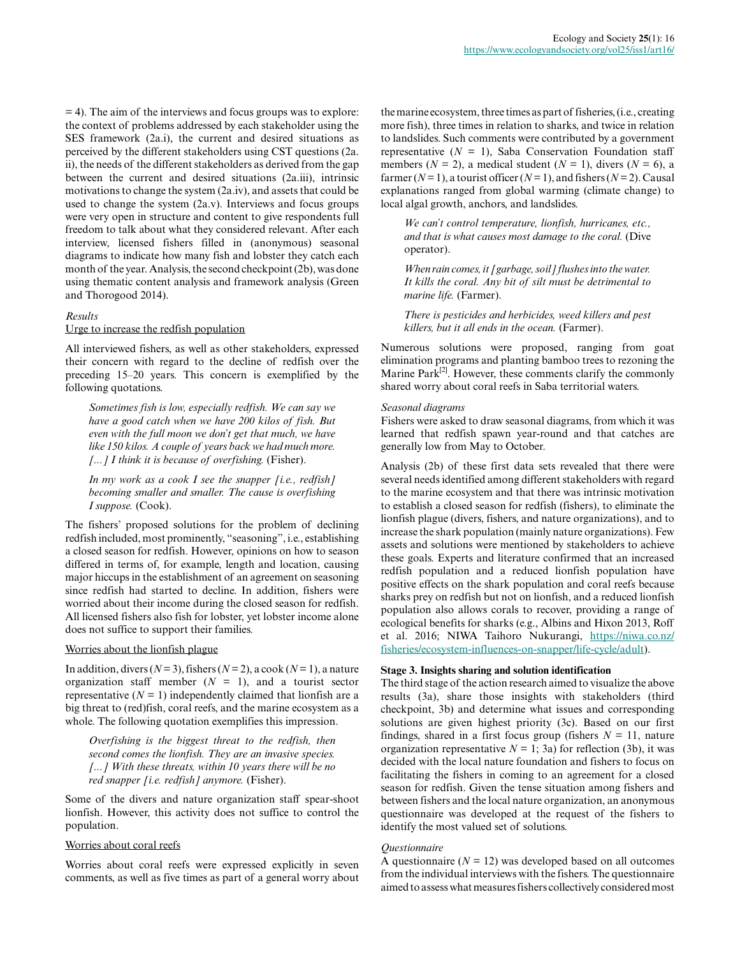= 4). The aim of the interviews and focus groups was to explore: the context of problems addressed by each stakeholder using the SES framework (2a.i), the current and desired situations as perceived by the different stakeholders using CST questions (2a. ii), the needs of the different stakeholders as derived from the gap between the current and desired situations (2a.iii), intrinsic motivations to change the system (2a.iv), and assets that could be used to change the system (2a.v). Interviews and focus groups were very open in structure and content to give respondents full freedom to talk about what they considered relevant. After each interview, licensed fishers filled in (anonymous) seasonal diagrams to indicate how many fish and lobster they catch each month of the year. Analysis, the second checkpoint (2b), was done using thematic content analysis and framework analysis (Green and Thorogood 2014).

# *Results*

## Urge to increase the redfish population

All interviewed fishers, as well as other stakeholders, expressed their concern with regard to the decline of redfish over the preceding 15–20 years. This concern is exemplified by the following quotations.

*Sometimes fish is low, especially redfish. We can say we have a good catch when we have 200 kilos of fish. But even with the full moon we don't get that much, we have like 150 kilos. A couple of years back we had much more. [...] I think it is because of overfishing.* (Fisher).

*In my work as a cook I see the snapper [i.e., redfish] becoming smaller and smaller. The cause is overfishing I suppose.* (Cook).

The fishers' proposed solutions for the problem of declining redfish included, most prominently, "seasoning", i.e., establishing a closed season for redfish. However, opinions on how to season differed in terms of, for example, length and location, causing major hiccups in the establishment of an agreement on seasoning since redfish had started to decline. In addition, fishers were worried about their income during the closed season for redfish. All licensed fishers also fish for lobster, yet lobster income alone does not suffice to support their families.

#### Worries about the lionfish plague

In addition, divers ( $N = 3$ ), fishers ( $N = 2$ ), a cook ( $N = 1$ ), a nature organization staff member  $(N = 1)$ , and a tourist sector representative  $(N = 1)$  independently claimed that lionfish are a big threat to (red)fish, coral reefs, and the marine ecosystem as a whole. The following quotation exemplifies this impression.

*Overfishing is the biggest threat to the redfish, then second comes the lionfish. They are an invasive species. [...] With these threats, within 10 years there will be no red snapper [i.e. redfish] anymore.* (Fisher).

Some of the divers and nature organization staff spear-shoot lionfish. However, this activity does not suffice to control the population.

# Worries about coral reefs

Worries about coral reefs were expressed explicitly in seven comments, as well as five times as part of a general worry about the marine ecosystem, three times as part of fisheries, (i.e., creating more fish), three times in relation to sharks, and twice in relation to landslides. Such comments were contributed by a government representative  $(N = 1)$ , Saba Conservation Foundation staff members ( $N = 2$ ), a medical student ( $N = 1$ ), divers ( $N = 6$ ), a farmer  $(N=1)$ , a tourist officer  $(N=1)$ , and fishers  $(N=2)$ . Causal explanations ranged from global warming (climate change) to local algal growth, anchors, and landslides.

*We can't control temperature, lionfish, hurricanes, etc., and that is what causes most damage to the coral.* (Dive operator).

*When rain comes, it [garbage, soil] flushes into the water. It kills the coral. Any bit of silt must be detrimental to marine life.* (Farmer).

*There is pesticides and herbicides, weed killers and pest killers, but it all ends in the ocean.* (Farmer).

Numerous solutions were proposed, ranging from goat elimination programs and planting bamboo trees to rezoning the Marine  $\text{Park}^{[2]}$ . However, these comments clarify the commonly shared worry about coral reefs in Saba territorial waters.

#### *Seasonal diagrams*

Fishers were asked to draw seasonal diagrams, from which it was learned that redfish spawn year-round and that catches are generally low from May to October.

Analysis (2b) of these first data sets revealed that there were several needs identified among different stakeholders with regard to the marine ecosystem and that there was intrinsic motivation to establish a closed season for redfish (fishers), to eliminate the lionfish plague (divers, fishers, and nature organizations), and to increase the shark population (mainly nature organizations). Few assets and solutions were mentioned by stakeholders to achieve these goals. Experts and literature confirmed that an increased redfish population and a reduced lionfish population have positive effects on the shark population and coral reefs because sharks prey on redfish but not on lionfish, and a reduced lionfish population also allows corals to recover, providing a range of ecological benefits for sharks (e.g., Albins and Hixon 2013, Roff et al. 2016; NIWA Taihoro Nukurangi, [https://niwa.co.nz/](https://niwa.co.nz/fisheries/ecosystem-influences-on-snapper/life-cycle/adult) [fisheries/ecosystem-influences-on-snapper/life-cycle/adult\)](https://niwa.co.nz/fisheries/ecosystem-influences-on-snapper/life-cycle/adult).

#### **Stage 3. Insights sharing and solution identification**

The third stage of the action research aimed to visualize the above results (3a), share those insights with stakeholders (third checkpoint, 3b) and determine what issues and corresponding solutions are given highest priority (3c). Based on our first findings, shared in a first focus group (fishers  $N = 11$ , nature organization representative  $N = 1$ ; 3a) for reflection (3b), it was decided with the local nature foundation and fishers to focus on facilitating the fishers in coming to an agreement for a closed season for redfish. Given the tense situation among fishers and between fishers and the local nature organization, an anonymous questionnaire was developed at the request of the fishers to identify the most valued set of solutions.

#### *Questionnaire*

A questionnaire  $(N = 12)$  was developed based on all outcomes from the individual interviews with the fishers. The questionnaire aimed to assess what measures fishers collectively considered most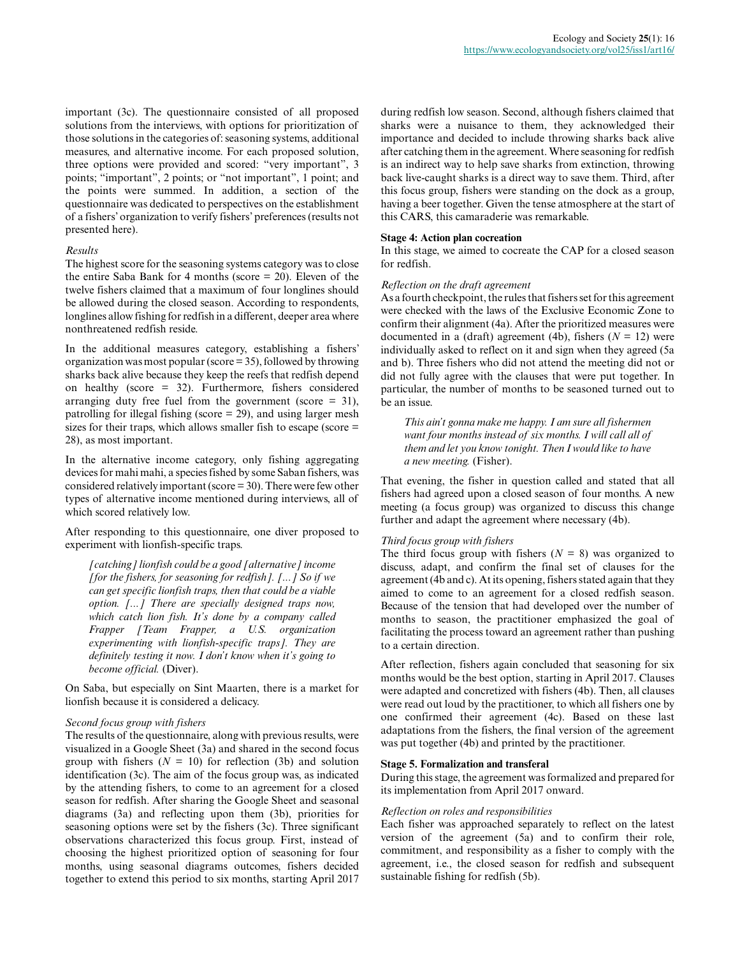important (3c). The questionnaire consisted of all proposed solutions from the interviews, with options for prioritization of those solutions in the categories of: seasoning systems, additional measures, and alternative income. For each proposed solution, three options were provided and scored: "very important", 3 points; "important", 2 points; or "not important", 1 point; and the points were summed. In addition, a section of the questionnaire was dedicated to perspectives on the establishment of a fishers' organization to verify fishers' preferences (results not presented here).

## *Results*

The highest score for the seasoning systems category was to close the entire Saba Bank for 4 months (score = 20). Eleven of the twelve fishers claimed that a maximum of four longlines should be allowed during the closed season. According to respondents, longlines allow fishing for redfish in a different, deeper area where nonthreatened redfish reside.

In the additional measures category, establishing a fishers' organization was most popular (score = 35), followed by throwing sharks back alive because they keep the reefs that redfish depend on healthy (score = 32). Furthermore, fishers considered arranging duty free fuel from the government (score  $= 31$ ), patrolling for illegal fishing (score = 29), and using larger mesh sizes for their traps, which allows smaller fish to escape (score  $=$ 28), as most important.

In the alternative income category, only fishing aggregating devices for mahi mahi, a species fished by some Saban fishers, was considered relatively important (score = 30). There were few other types of alternative income mentioned during interviews, all of which scored relatively low.

After responding to this questionnaire, one diver proposed to experiment with lionfish-specific traps.

*[catching] lionfish could be a good [alternative] income [for the fishers, for seasoning for redfish]. [...] So if we can get specific lionfish traps, then that could be a viable option. [...] There are specially designed traps now, which catch lion fish. It's done by a company called Frapper [Team Frapper, a U.S. organization experimenting with lionfish-specific traps]. They are definitely testing it now. I don't know when it's going to become official.* (Diver).

On Saba, but especially on Sint Maarten, there is a market for lionfish because it is considered a delicacy.

## *Second focus group with fishers*

The results of the questionnaire, along with previous results, were visualized in a Google Sheet (3a) and shared in the second focus group with fishers  $(N = 10)$  for reflection (3b) and solution identification (3c). The aim of the focus group was, as indicated by the attending fishers, to come to an agreement for a closed season for redfish. After sharing the Google Sheet and seasonal diagrams (3a) and reflecting upon them (3b), priorities for seasoning options were set by the fishers (3c). Three significant observations characterized this focus group. First, instead of choosing the highest prioritized option of seasoning for four months, using seasonal diagrams outcomes, fishers decided together to extend this period to six months, starting April 2017

during redfish low season. Second, although fishers claimed that sharks were a nuisance to them, they acknowledged their importance and decided to include throwing sharks back alive after catching them in the agreement. Where seasoning for redfish is an indirect way to help save sharks from extinction, throwing back live-caught sharks is a direct way to save them. Third, after this focus group, fishers were standing on the dock as a group, having a beer together. Given the tense atmosphere at the start of this CARS, this camaraderie was remarkable.

#### **Stage 4: Action plan cocreation**

In this stage, we aimed to cocreate the CAP for a closed season for redfish.

# *Reflection on the draft agreement*

As a fourth checkpoint, the rules that fishers set for this agreement were checked with the laws of the Exclusive Economic Zone to confirm their alignment (4a). After the prioritized measures were documented in a (draft) agreement (4b), fishers  $(N = 12)$  were individually asked to reflect on it and sign when they agreed (5a and b). Three fishers who did not attend the meeting did not or did not fully agree with the clauses that were put together. In particular, the number of months to be seasoned turned out to be an issue.

*This ain't gonna make me happy. I am sure all fishermen want four months instead of six months. I will call all of them and let you know tonight. Then I would like to have a new meeting.* (Fisher).

That evening, the fisher in question called and stated that all fishers had agreed upon a closed season of four months. A new meeting (a focus group) was organized to discuss this change further and adapt the agreement where necessary (4b).

# *Third focus group with fishers*

The third focus group with fishers  $(N = 8)$  was organized to discuss, adapt, and confirm the final set of clauses for the agreement (4b and c). At its opening, fishers stated again that they aimed to come to an agreement for a closed redfish season. Because of the tension that had developed over the number of months to season, the practitioner emphasized the goal of facilitating the process toward an agreement rather than pushing to a certain direction.

After reflection, fishers again concluded that seasoning for six months would be the best option, starting in April 2017. Clauses were adapted and concretized with fishers (4b). Then, all clauses were read out loud by the practitioner, to which all fishers one by one confirmed their agreement (4c). Based on these last adaptations from the fishers, the final version of the agreement was put together (4b) and printed by the practitioner.

# **Stage 5. Formalization and transferal**

During this stage, the agreement was formalized and prepared for its implementation from April 2017 onward.

#### *Reflection on roles and responsibilities*

Each fisher was approached separately to reflect on the latest version of the agreement (5a) and to confirm their role, commitment, and responsibility as a fisher to comply with the agreement, i.e., the closed season for redfish and subsequent sustainable fishing for redfish (5b).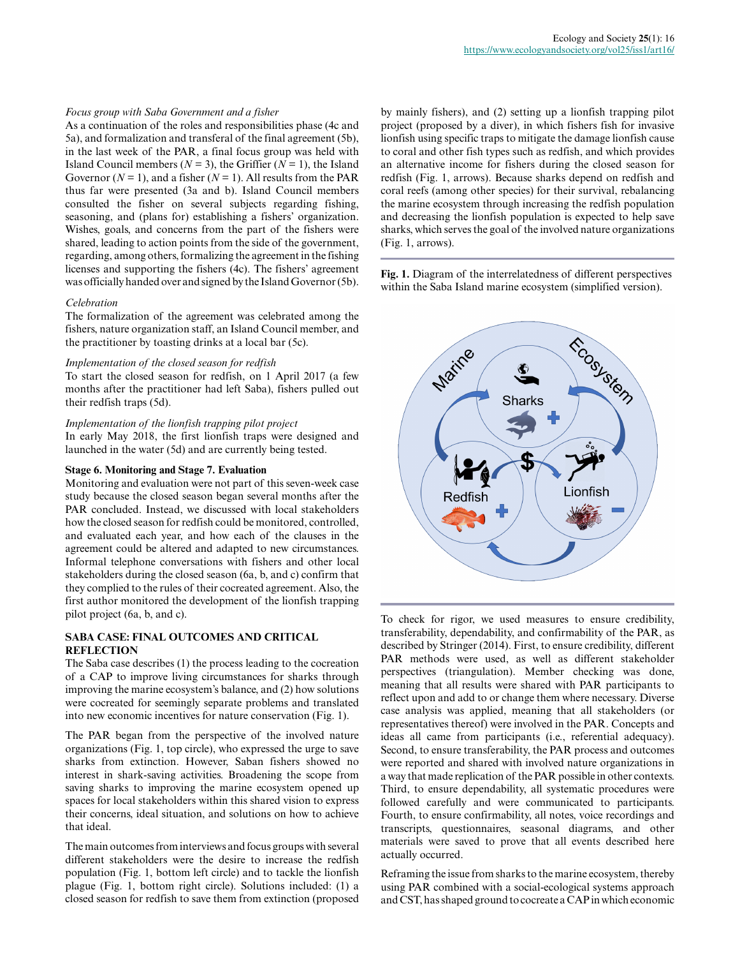#### *Focus group with Saba Government and a fisher*

As a continuation of the roles and responsibilities phase (4c and 5a), and formalization and transferal of the final agreement (5b), in the last week of the PAR, a final focus group was held with Island Council members ( $N = 3$ ), the Griffier ( $N = 1$ ), the Island Governor  $(N = 1)$ , and a fisher  $(N = 1)$ . All results from the PAR thus far were presented (3a and b). Island Council members consulted the fisher on several subjects regarding fishing, seasoning, and (plans for) establishing a fishers' organization. Wishes, goals, and concerns from the part of the fishers were shared, leading to action points from the side of the government, regarding, among others, formalizing the agreement in the fishing licenses and supporting the fishers (4c). The fishers' agreement was officially handed over and signed by the Island Governor (5b).

#### *Celebration*

The formalization of the agreement was celebrated among the fishers, nature organization staff, an Island Council member, and the practitioner by toasting drinks at a local bar (5c).

#### *Implementation of the closed season for redfish*

To start the closed season for redfish, on 1 April 2017 (a few months after the practitioner had left Saba), fishers pulled out their redfish traps (5d).

#### *Implementation of the lionfish trapping pilot project*

In early May 2018, the first lionfish traps were designed and launched in the water (5d) and are currently being tested.

#### **Stage 6. Monitoring and Stage 7. Evaluation**

Monitoring and evaluation were not part of this seven-week case study because the closed season began several months after the PAR concluded. Instead, we discussed with local stakeholders how the closed season for redfish could be monitored, controlled, and evaluated each year, and how each of the clauses in the agreement could be altered and adapted to new circumstances. Informal telephone conversations with fishers and other local stakeholders during the closed season (6a, b, and c) confirm that they complied to the rules of their cocreated agreement. Also, the first author monitored the development of the lionfish trapping pilot project (6a, b, and c).

# **SABA CASE: FINAL OUTCOMES AND CRITICAL REFLECTION**

The Saba case describes (1) the process leading to the cocreation of a CAP to improve living circumstances for sharks through improving the marine ecosystem's balance, and (2) how solutions were cocreated for seemingly separate problems and translated into new economic incentives for nature conservation (Fig. 1).

The PAR began from the perspective of the involved nature organizations (Fig. 1, top circle), who expressed the urge to save sharks from extinction. However, Saban fishers showed no interest in shark-saving activities. Broadening the scope from saving sharks to improving the marine ecosystem opened up spaces for local stakeholders within this shared vision to express their concerns, ideal situation, and solutions on how to achieve that ideal.

The main outcomes from interviews and focus groups with several different stakeholders were the desire to increase the redfish population (Fig. 1, bottom left circle) and to tackle the lionfish plague (Fig. 1, bottom right circle). Solutions included: (1) a closed season for redfish to save them from extinction (proposed

by mainly fishers), and (2) setting up a lionfish trapping pilot project (proposed by a diver), in which fishers fish for invasive lionfish using specific traps to mitigate the damage lionfish cause to coral and other fish types such as redfish, and which provides an alternative income for fishers during the closed season for redfish (Fig. 1, arrows). Because sharks depend on redfish and coral reefs (among other species) for their survival, rebalancing the marine ecosystem through increasing the redfish population and decreasing the lionfish population is expected to help save sharks, which serves the goal of the involved nature organizations (Fig. 1, arrows).

**Fig. 1.** Diagram of the interrelatedness of different perspectives within the Saba Island marine ecosystem (simplified version).



To check for rigor, we used measures to ensure credibility, transferability, dependability, and confirmability of the PAR, as described by Stringer (2014). First, to ensure credibility, different PAR methods were used, as well as different stakeholder perspectives (triangulation). Member checking was done, meaning that all results were shared with PAR participants to reflect upon and add to or change them where necessary. Diverse case analysis was applied, meaning that all stakeholders (or representatives thereof) were involved in the PAR. Concepts and ideas all came from participants (i.e., referential adequacy). Second, to ensure transferability, the PAR process and outcomes were reported and shared with involved nature organizations in a way that made replication of the PAR possible in other contexts. Third, to ensure dependability, all systematic procedures were followed carefully and were communicated to participants. Fourth, to ensure confirmability, all notes, voice recordings and transcripts, questionnaires, seasonal diagrams, and other materials were saved to prove that all events described here actually occurred.

Reframing the issue from sharks to the marine ecosystem, thereby using PAR combined with a social-ecological systems approach and CST, has shaped ground to cocreate a CAP in which economic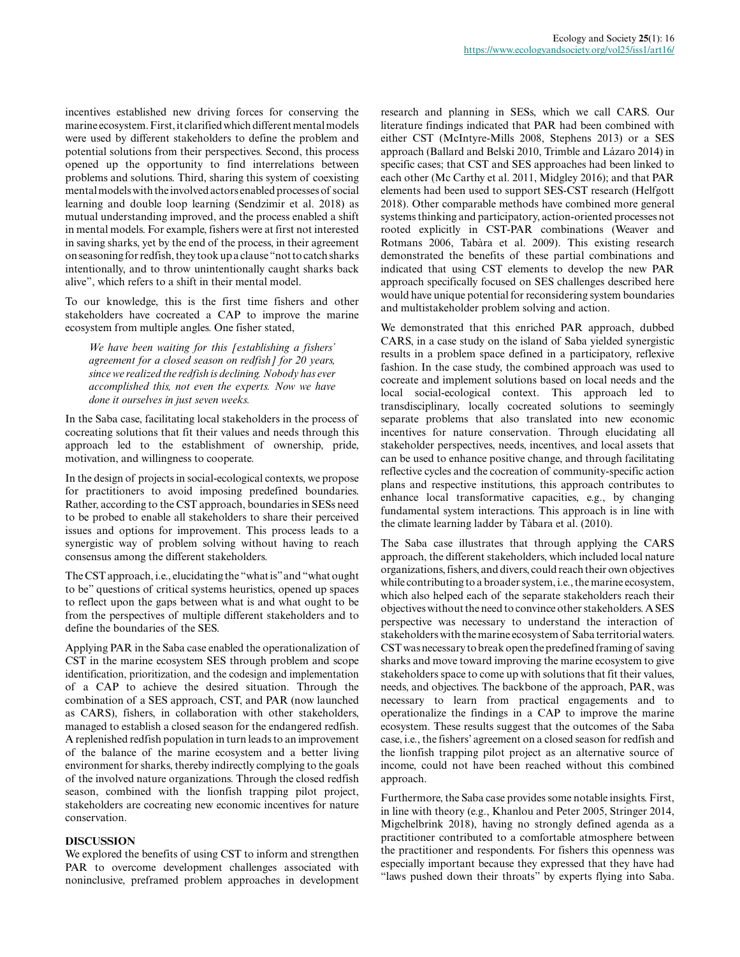incentives established new driving forces for conserving the marine ecosystem. First, it clarified which different mental models were used by different stakeholders to define the problem and potential solutions from their perspectives. Second, this process opened up the opportunity to find interrelations between problems and solutions. Third, sharing this system of coexisting mental models with the involved actors enabled processes of social learning and double loop learning (Sendzimir et al. 2018) as mutual understanding improved, and the process enabled a shift in mental models. For example, fishers were at first not interested in saving sharks, yet by the end of the process, in their agreement on seasoning for redfish, they took up a clause "not to catch sharks intentionally, and to throw unintentionally caught sharks back alive", which refers to a shift in their mental model.

To our knowledge, this is the first time fishers and other stakeholders have cocreated a CAP to improve the marine ecosystem from multiple angles. One fisher stated,

*We have been waiting for this [establishing a fishers' agreement for a closed season on redfish] for 20 years, since we realized the redfish is declining. Nobody has ever accomplished this, not even the experts. Now we have done it ourselves in just seven weeks.*

In the Saba case, facilitating local stakeholders in the process of cocreating solutions that fit their values and needs through this approach led to the establishment of ownership, pride, motivation, and willingness to cooperate.

In the design of projects in social-ecological contexts, we propose for practitioners to avoid imposing predefined boundaries. Rather, according to the CST approach, boundaries in SESs need to be probed to enable all stakeholders to share their perceived issues and options for improvement. This process leads to a synergistic way of problem solving without having to reach consensus among the different stakeholders.

The CST approach, i.e., elucidating the "what is" and "what ought to be" questions of critical systems heuristics, opened up spaces to reflect upon the gaps between what is and what ought to be from the perspectives of multiple different stakeholders and to define the boundaries of the SES.

Applying PAR in the Saba case enabled the operationalization of CST in the marine ecosystem SES through problem and scope identification, prioritization, and the codesign and implementation of a CAP to achieve the desired situation. Through the combination of a SES approach, CST, and PAR (now launched as CARS), fishers, in collaboration with other stakeholders, managed to establish a closed season for the endangered redfish. A replenished redfish population in turn leads to an improvement of the balance of the marine ecosystem and a better living environment for sharks, thereby indirectly complying to the goals of the involved nature organizations. Through the closed redfish season, combined with the lionfish trapping pilot project, stakeholders are cocreating new economic incentives for nature conservation.

# **DISCUSSION**

We explored the benefits of using CST to inform and strengthen PAR to overcome development challenges associated with noninclusive, preframed problem approaches in development research and planning in SESs, which we call CARS. Our literature findings indicated that PAR had been combined with either CST (McIntyre-Mills 2008, Stephens 2013) or a SES approach (Ballard and Belski 2010, Trimble and Lázaro 2014) in specific cases; that CST and SES approaches had been linked to each other (Mc Carthy et al. 2011, Midgley 2016); and that PAR elements had been used to support SES-CST research (Helfgott 2018). Other comparable methods have combined more general systems thinking and participatory, action-oriented processes not rooted explicitly in CST-PAR combinations (Weaver and Rotmans 2006, Tabàra et al. 2009). This existing research demonstrated the benefits of these partial combinations and indicated that using CST elements to develop the new PAR approach specifically focused on SES challenges described here would have unique potential for reconsidering system boundaries and multistakeholder problem solving and action.

We demonstrated that this enriched PAR approach, dubbed CARS, in a case study on the island of Saba yielded synergistic results in a problem space defined in a participatory, reflexive fashion. In the case study, the combined approach was used to cocreate and implement solutions based on local needs and the local social-ecological context. This approach led to transdisciplinary, locally cocreated solutions to seemingly separate problems that also translated into new economic incentives for nature conservation. Through elucidating all stakeholder perspectives, needs, incentives, and local assets that can be used to enhance positive change, and through facilitating reflective cycles and the cocreation of community-specific action plans and respective institutions, this approach contributes to enhance local transformative capacities, e.g., by changing fundamental system interactions. This approach is in line with the climate learning ladder by Tàbara et al. (2010).

The Saba case illustrates that through applying the CARS approach, the different stakeholders, which included local nature organizations, fishers, and divers, could reach their own objectives while contributing to a broader system, i.e., the marine ecosystem, which also helped each of the separate stakeholders reach their objectives without the need to convince other stakeholders. A SES perspective was necessary to understand the interaction of stakeholders with the marine ecosystem of Saba territorial waters. CST was necessary to break open the predefined framing of saving sharks and move toward improving the marine ecosystem to give stakeholders space to come up with solutions that fit their values, needs, and objectives. The backbone of the approach, PAR, was necessary to learn from practical engagements and to operationalize the findings in a CAP to improve the marine ecosystem. These results suggest that the outcomes of the Saba case, i.e., the fishers' agreement on a closed season for redfish and the lionfish trapping pilot project as an alternative source of income, could not have been reached without this combined approach.

Furthermore, the Saba case provides some notable insights. First, in line with theory (e.g., Khanlou and Peter 2005, Stringer 2014, Migchelbrink 2018), having no strongly defined agenda as a practitioner contributed to a comfortable atmosphere between the practitioner and respondents. For fishers this openness was especially important because they expressed that they have had "laws pushed down their throats" by experts flying into Saba.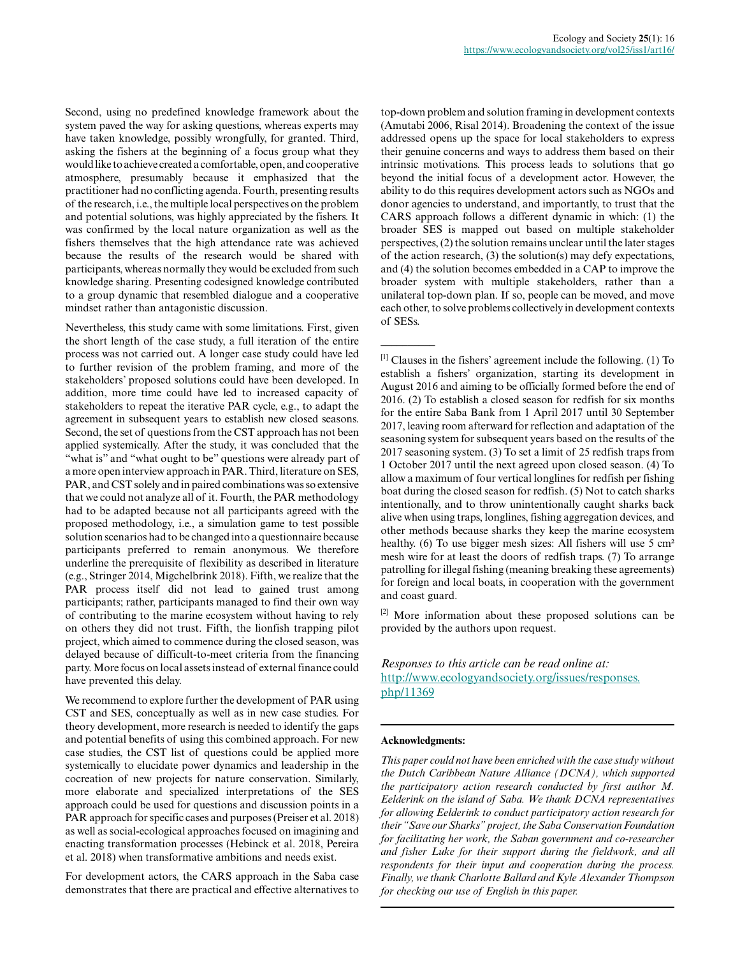Second, using no predefined knowledge framework about the system paved the way for asking questions, whereas experts may have taken knowledge, possibly wrongfully, for granted. Third, asking the fishers at the beginning of a focus group what they would like to achieve created a comfortable, open, and cooperative atmosphere, presumably because it emphasized that the practitioner had no conflicting agenda. Fourth, presenting results of the research, i.e., the multiple local perspectives on the problem and potential solutions, was highly appreciated by the fishers. It was confirmed by the local nature organization as well as the fishers themselves that the high attendance rate was achieved because the results of the research would be shared with participants, whereas normally they would be excluded from such knowledge sharing. Presenting codesigned knowledge contributed to a group dynamic that resembled dialogue and a cooperative mindset rather than antagonistic discussion.

Nevertheless, this study came with some limitations. First, given the short length of the case study, a full iteration of the entire process was not carried out. A longer case study could have led to further revision of the problem framing, and more of the stakeholders' proposed solutions could have been developed. In addition, more time could have led to increased capacity of stakeholders to repeat the iterative PAR cycle, e.g., to adapt the agreement in subsequent years to establish new closed seasons. Second, the set of questions from the CST approach has not been applied systemically. After the study, it was concluded that the "what is" and "what ought to be" questions were already part of a more open interview approach in PAR. Third, literature on SES, PAR, and CST solely and in paired combinations was so extensive that we could not analyze all of it. Fourth, the PAR methodology had to be adapted because not all participants agreed with the proposed methodology, i.e., a simulation game to test possible solution scenarios had to be changed into a questionnaire because participants preferred to remain anonymous. We therefore underline the prerequisite of flexibility as described in literature (e.g., Stringer 2014, Migchelbrink 2018). Fifth, we realize that the PAR process itself did not lead to gained trust among participants; rather, participants managed to find their own way of contributing to the marine ecosystem without having to rely on others they did not trust. Fifth, the lionfish trapping pilot project, which aimed to commence during the closed season, was delayed because of difficult-to-meet criteria from the financing party. More focus on local assets instead of external finance could have prevented this delay.

We recommend to explore further the development of PAR using CST and SES, conceptually as well as in new case studies. For theory development, more research is needed to identify the gaps and potential benefits of using this combined approach. For new case studies, the CST list of questions could be applied more systemically to elucidate power dynamics and leadership in the cocreation of new projects for nature conservation. Similarly, more elaborate and specialized interpretations of the SES approach could be used for questions and discussion points in a PAR approach for specific cases and purposes (Preiser et al. 2018) as well as social-ecological approaches focused on imagining and enacting transformation processes (Hebinck et al. 2018, Pereira et al. 2018) when transformative ambitions and needs exist.

For development actors, the CARS approach in the Saba case demonstrates that there are practical and effective alternatives to top-down problem and solution framing in development contexts (Amutabi 2006, Risal 2014). Broadening the context of the issue addressed opens up the space for local stakeholders to express their genuine concerns and ways to address them based on their intrinsic motivations. This process leads to solutions that go beyond the initial focus of a development actor. However, the ability to do this requires development actors such as NGOs and donor agencies to understand, and importantly, to trust that the CARS approach follows a different dynamic in which: (1) the broader SES is mapped out based on multiple stakeholder perspectives, (2) the solution remains unclear until the later stages of the action research, (3) the solution(s) may defy expectations, and (4) the solution becomes embedded in a CAP to improve the broader system with multiple stakeholders, rather than a unilateral top-down plan. If so, people can be moved, and move each other, to solve problems collectively in development contexts of SESs.

 $<sup>[1]</sup>$  Clauses in the fishers' agreement include the following. (1) To</sup> establish a fishers' organization, starting its development in August 2016 and aiming to be officially formed before the end of 2016. (2) To establish a closed season for redfish for six months for the entire Saba Bank from 1 April 2017 until 30 September 2017, leaving room afterward for reflection and adaptation of the seasoning system for subsequent years based on the results of the 2017 seasoning system. (3) To set a limit of 25 redfish traps from 1 October 2017 until the next agreed upon closed season. (4) To allow a maximum of four vertical longlines for redfish per fishing boat during the closed season for redfish. (5) Not to catch sharks intentionally, and to throw unintentionally caught sharks back alive when using traps, longlines, fishing aggregation devices, and other methods because sharks they keep the marine ecosystem healthy. (6) To use bigger mesh sizes: All fishers will use 5 cm<sup>2</sup> mesh wire for at least the doors of redfish traps. (7) To arrange patrolling for illegal fishing (meaning breaking these agreements) for foreign and local boats, in cooperation with the government and coast guard.

 $[2]$  More information about these proposed solutions can be provided by the authors upon request.

*Responses to this article can be read online at:* [http://www.ecologyandsociety.org/issues/responses.](http://www.ecologyandsociety.org/issues/responses.php/11369) [php/11369](http://www.ecologyandsociety.org/issues/responses.php/11369)

#### **Acknowledgments:**

 $\overline{\phantom{a}}$ 

*This paper could not have been enriched with the case study without the Dutch Caribbean Nature Alliance (DCNA), which supported the participatory action research conducted by first author M. Eelderink on the island of Saba. We thank DCNA representatives for allowing Eelderink to conduct participatory action research for their "Save our Sharks" project, the Saba Conservation Foundation for facilitating her work, the Saban government and co-researcher and fisher Luke for their support during the fieldwork, and all respondents for their input and cooperation during the process. Finally, we thank Charlotte Ballard and Kyle Alexander Thompson for checking our use of English in this paper.*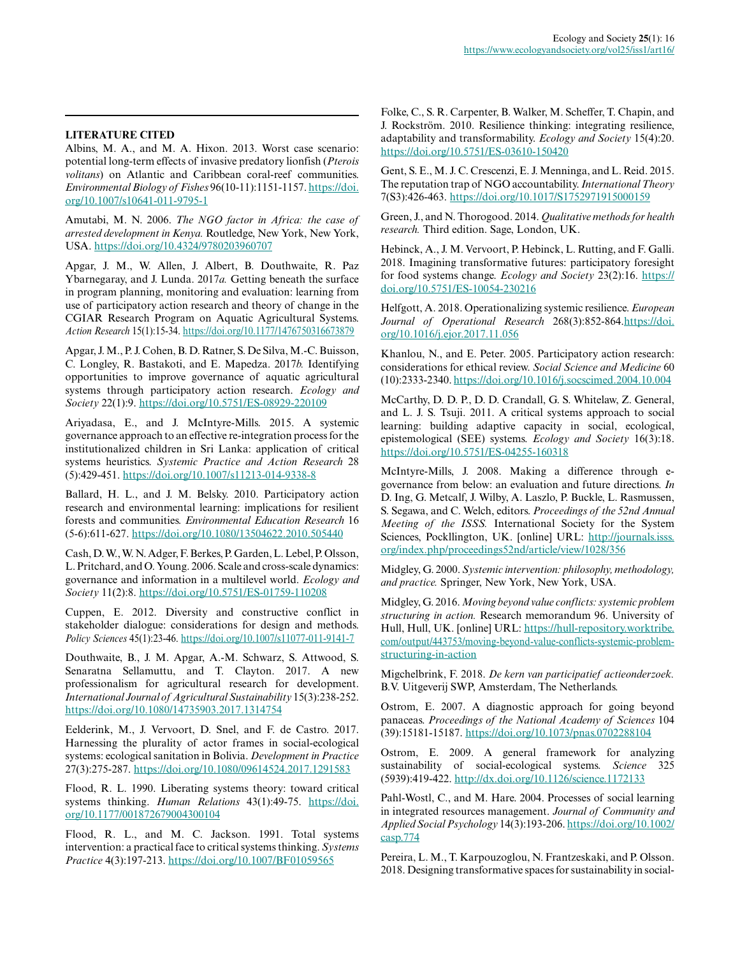# **LITERATURE CITED**

Albins, M. A., and M. A. Hixon. 2013. Worst case scenario: potential long-term effects of invasive predatory lionfish (*Pterois volitans*) on Atlantic and Caribbean coral-reef communities. *Environmental Biology of Fishes* 96(10-11):1151-1157. [https://doi.](https://doi.org/10.1007/s10641-011-9795-1) [org/10.1007/s10641-011-9795-1](https://doi.org/10.1007/s10641-011-9795-1)

Amutabi, M. N. 2006. *The NGO factor in Africa: the case of arrested development in Kenya.* Routledge, New York, New York, USA.<https://doi.org/10.4324/9780203960707>

Apgar, J. M., W. Allen, J. Albert, B. Douthwaite, R. Paz Ybarnegaray, and J. Lunda. 2017*a.* Getting beneath the surface in program planning, monitoring and evaluation: learning from use of participatory action research and theory of change in the CGIAR Research Program on Aquatic Agricultural Systems. *Action Research* 15(1):15-34.<https://doi.org/10.1177/1476750316673879>

Apgar, J. M., P. J. Cohen, B. D. Ratner, S. De Silva, M.-C. Buisson, C. Longley, R. Bastakoti, and E. Mapedza. 2017*b.* Identifying opportunities to improve governance of aquatic agricultural systems through participatory action research. *Ecology and Society* 22(1):9.<https://doi.org/10.5751/ES-08929-220109>

Ariyadasa, E., and J. McIntyre-Mills. 2015. A systemic governance approach to an effective re-integration process for the institutionalized children in Sri Lanka: application of critical systems heuristics. *Systemic Practice and Action Research* 28 (5):429-451. <https://doi.org/10.1007/s11213-014-9338-8>

Ballard, H. L., and J. M. Belsky. 2010. Participatory action research and environmental learning: implications for resilient forests and communities. *Environmental Education Research* 16 (5-6):611-627.<https://doi.org/10.1080/13504622.2010.505440>

Cash, D. W., W. N. Adger, F. Berkes, P. Garden, L. Lebel, P. Olsson, L. Pritchard, and O. Young. 2006. Scale and cross-scale dynamics: governance and information in a multilevel world. *Ecology and Society* 11(2):8.<https://doi.org/10.5751/ES-01759-110208>

Cuppen, E. 2012. Diversity and constructive conflict in stakeholder dialogue: considerations for design and methods. *Policy Sciences* 45(1):23-46. <https://doi.org/10.1007/s11077-011-9141-7>

Douthwaite, B., J. M. Apgar, A.-M. Schwarz, S. Attwood, S. Senaratna Sellamuttu, and T. Clayton. 2017. A new professionalism for agricultural research for development. *International Journal of Agricultural Sustainability* 15(3):238-252. <https://doi.org/10.1080/14735903.2017.1314754>

Eelderink, M., J. Vervoort, D. Snel, and F. de Castro. 2017. Harnessing the plurality of actor frames in social-ecological systems: ecological sanitation in Bolivia. *Development in Practice* 27(3):275-287. <https://doi.org/10.1080/09614524.2017.1291583>

Flood, R. L. 1990. Liberating systems theory: toward critical systems thinking. *Human Relations* 43(1):49-75. [https://doi.](https://doi.org/10.1177/001872679004300104) [org/10.1177/001872679004300104](https://doi.org/10.1177/001872679004300104)

Flood, R. L., and M. C. Jackson. 1991. Total systems intervention: a practical face to critical systems thinking. *Systems Practice* 4(3):197-213.<https://doi.org/10.1007/BF01059565>

Folke, C., S. R. Carpenter, B. Walker, M. Scheffer, T. Chapin, and J. Rockström. 2010. Resilience thinking: integrating resilience, adaptability and transformability. *Ecology and Society* 15(4):20. <https://doi.org/10.5751/ES-03610-150420>

Gent, S. E., M. J. C. Crescenzi, E. J. Menninga, and L. Reid. 2015. The reputation trap of NGO accountability. *International Theory* 7(S3):426-463.<https://doi.org/10.1017/S1752971915000159>

Green, J., and N. Thorogood. 2014. *Qualitative methods for health research.* Third edition. Sage, London, UK.

Hebinck, A., J. M. Vervoort, P. Hebinck, L. Rutting, and F. Galli. 2018. Imagining transformative futures: participatory foresight for food systems change. *Ecology and Society* 23(2):16. [https://](https://doi.org/10.5751/ES-10054-230216) [doi.org/10.5751/ES-10054-230216](https://doi.org/10.5751/ES-10054-230216)

Helfgott, A. 2018. Operationalizing systemic resilience. *European Journal of Operational Research* 268(3):852-864[.https://doi.](https://doi.org/10.1016/j.ejor.2017.11.056) [org/10.1016/j.ejor.2017.11.056](https://doi.org/10.1016/j.ejor.2017.11.056)

Khanlou, N., and E. Peter. 2005. Participatory action research: considerations for ethical review. *Social Science and Medicine* 60 (10):2333-2340.<https://doi.org/10.1016/j.socscimed.2004.10.004>

McCarthy, D. D. P., D. D. Crandall, G. S. Whitelaw, Z. General, and L. J. S. Tsuji. 2011. A critical systems approach to social learning: building adaptive capacity in social, ecological, epistemological (SEE) systems. *Ecology and Society* 16(3):18. <https://doi.org/10.5751/ES-04255-160318>

McIntyre-Mills, J. 2008. Making a difference through egovernance from below: an evaluation and future directions. *In* D. Ing, G. Metcalf, J. Wilby, A. Laszlo, P. Buckle, L. Rasmussen, S. Segawa, and C. Welch, editors. *Proceedings of the 52nd Annual Meeting of the ISSS.* International Society for the System Sciences, Pockllington, UK. [online] URL: [http://journals.isss.](http://journals.isss.org/index.php/proceedings52nd/article/view/1028/356) [org/index.php/proceedings52nd/article/view/1028/356](http://journals.isss.org/index.php/proceedings52nd/article/view/1028/356) 

Midgley, G. 2000. *Systemic intervention: philosophy, methodology, and practice.* Springer, New York, New York, USA.

Midgley, G. 2016. *Moving beyond value conflicts: systemic problem structuring in action.* Research memorandum 96. University of Hull, Hull, UK. [online] URL: [https://hull-repository.worktribe.](https://hull-repository.worktribe.com/output/443753/moving-beyond-value-conflicts-systemic-problem-structuring-in-action) [com/output/443753/moving-beyond-value-conflicts-systemic-problem](https://hull-repository.worktribe.com/output/443753/moving-beyond-value-conflicts-systemic-problem-structuring-in-action)[structuring-in-action](https://hull-repository.worktribe.com/output/443753/moving-beyond-value-conflicts-systemic-problem-structuring-in-action)

Migchelbrink, F. 2018. *De kern van participatief actieonderzoek.* B.V. Uitgeverij SWP, Amsterdam, The Netherlands.

Ostrom, E. 2007. A diagnostic approach for going beyond panaceas. *Proceedings of the National Academy of Sciences* 104 (39):15181-15187.<https://doi.org/10.1073/pnas.0702288104>

Ostrom, E. 2009. A general framework for analyzing sustainability of social-ecological systems. *Science* 325 (5939):419-422.<http://dx.doi.org/10.1126/science.1172133>

Pahl-Wostl, C., and M. Hare. 2004. Processes of social learning in integrated resources management. *Journal of Community and Applied Social Psychology* 14(3):193-206. [https://doi.org/10.1002/](https://doi.org/10.1002/casp.774) [casp.774](https://doi.org/10.1002/casp.774)

Pereira, L. M., T. Karpouzoglou, N. Frantzeskaki, and P. Olsson. 2018. Designing transformative spaces for sustainability in social